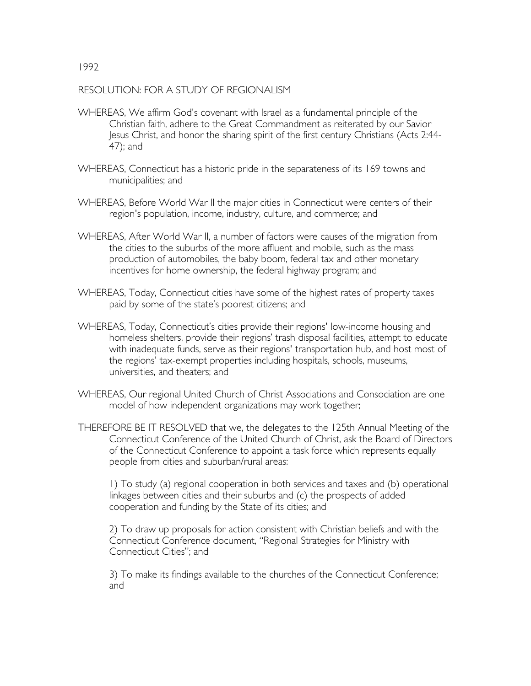## RESOLUTION: FOR A STUDY OF REGIONALISM

- WHEREAS, We affirm God's covenant with Israel as a fundamental principle of the Christian faith, adhere to the Great Commandment as reiterated by our Savior Jesus Christ, and honor the sharing spirit of the first century Christians (Acts 2:44- 47); and
- WHEREAS, Connecticut has a historic pride in the separateness of its 169 towns and municipalities; and
- WHEREAS, Before World War II the major cities in Connecticut were centers of their region's population, income, industry, culture, and commerce; and
- WHEREAS, After World War II, a number of factors were causes of the migration from the cities to the suburbs of the more affluent and mobile, such as the mass production of automobiles, the baby boom, federal tax and other monetary incentives for home ownership, the federal highway program; and
- WHEREAS, Today, Connecticut cities have some of the highest rates of property taxes paid by some of the state's poorest citizens; and
- WHEREAS, Today, Connecticut's cities provide their regions' low-income housing and homeless shelters, provide their regions' trash disposal facilities, attempt to educate with inadequate funds, serve as their regions' transportation hub, and host most of the regions' tax-exempt properties including hospitals, schools, museums, universities, and theaters; and
- WHEREAS, Our regional United Church of Christ Associations and Consociation are one model of how independent organizations may work together;
- THEREFORE BE IT RESOLVED that we, the delegates to the 125th Annual Meeting of the Connecticut Conference of the United Church of Christ, ask the Board of Directors of the Connecticut Conference to appoint a task force which represents equally people from cities and suburban/rural areas:

1) To study (a) regional cooperation in both services and taxes and (b) operational linkages between cities and their suburbs and (c) the prospects of added cooperation and funding by the State of its cities; and

2) To draw up proposals for action consistent with Christian beliefs and with the Connecticut Conference document, "Regional Strategies for Ministry with Connecticut Cities"; and

3) To make its findings available to the churches of the Connecticut Conference; and

1992